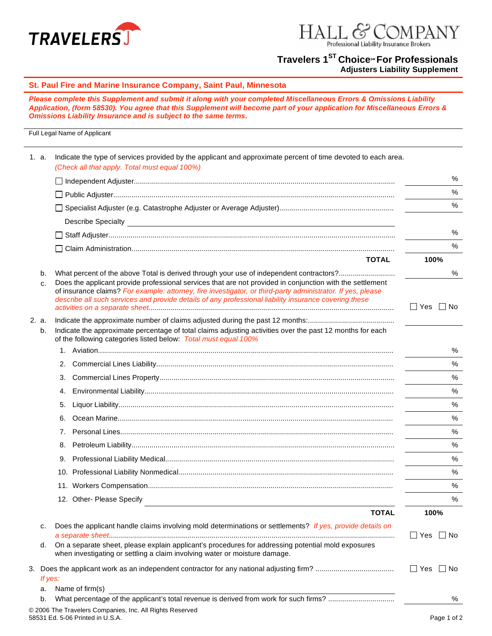



## **Travelers 1<sup>ST</sup> Choice<sup>™</sup> For Professionals**

**Adjusters Liability Supplement**

## **St. Paul Fire and Marine Insurance Company, Saint Paul, Minnesota**

*Please complete this Supplement and submit it along with your completed Miscellaneous Errors & Omissions Liability Application, (form 58530). You agree that this Supplement will become part of your application for Miscellaneous Errors & Omissions Liability Insurance and is subject to the same terms.* 

## Full Legal Name of Applicant

|  | 1. a.       | Indicate the type of services provided by the applicant and approximate percent of time devoted to each area.<br>(Check all that apply. Total must equal 100%)                                                                                                                                                      |                         |
|--|-------------|---------------------------------------------------------------------------------------------------------------------------------------------------------------------------------------------------------------------------------------------------------------------------------------------------------------------|-------------------------|
|  |             |                                                                                                                                                                                                                                                                                                                     | %                       |
|  |             |                                                                                                                                                                                                                                                                                                                     | %                       |
|  |             |                                                                                                                                                                                                                                                                                                                     | %                       |
|  |             |                                                                                                                                                                                                                                                                                                                     |                         |
|  |             |                                                                                                                                                                                                                                                                                                                     | %                       |
|  |             |                                                                                                                                                                                                                                                                                                                     | %                       |
|  |             | <b>TOTAL</b>                                                                                                                                                                                                                                                                                                        | 100%                    |
|  | b.<br>c.    | What percent of the above Total is derived through your use of independent contractors?<br>Does the applicant provide professional services that are not provided in conjunction with the settlement<br>of insurance claims? For example: attorney, fire investigator, or third-party administrator. If yes, please | %                       |
|  |             | describe all such services and provide details of any professional liability insurance covering these                                                                                                                                                                                                               | $\Box$ Yes<br>$\Box$ No |
|  | 2. a.<br>b. | Indicate the approximate percentage of total claims adjusting activities over the past 12 months for each<br>of the following categories listed below: Total must equal 100%                                                                                                                                        |                         |
|  |             |                                                                                                                                                                                                                                                                                                                     | %                       |
|  |             | 2.                                                                                                                                                                                                                                                                                                                  | %                       |
|  |             | З.                                                                                                                                                                                                                                                                                                                  | %                       |
|  |             | 4.                                                                                                                                                                                                                                                                                                                  | %                       |
|  |             | 5.                                                                                                                                                                                                                                                                                                                  | %                       |
|  |             | 6.                                                                                                                                                                                                                                                                                                                  | %                       |
|  |             |                                                                                                                                                                                                                                                                                                                     | %                       |
|  |             | 8.                                                                                                                                                                                                                                                                                                                  | %                       |
|  |             | 9.                                                                                                                                                                                                                                                                                                                  | %                       |
|  |             |                                                                                                                                                                                                                                                                                                                     | %                       |
|  |             |                                                                                                                                                                                                                                                                                                                     | %                       |
|  |             | 12. Other- Please Specify                                                                                                                                                                                                                                                                                           | %                       |
|  |             | <b>TOTAL</b>                                                                                                                                                                                                                                                                                                        | 100%                    |
|  | с.          | Does the applicant handle claims involving mold determinations or settlements? If yes, provide details on                                                                                                                                                                                                           | $\Box$ Yes $\Box$ No    |
|  | d.          | On a separate sheet, please explain applicant's procedures for addressing potential mold exposures<br>when investigating or settling a claim involving water or moisture damage.                                                                                                                                    |                         |
|  |             |                                                                                                                                                                                                                                                                                                                     | $\Box$ Yes $\Box$ No    |
|  | If yes:     |                                                                                                                                                                                                                                                                                                                     |                         |
|  | a.<br>b.    | Name of firm(s)                                                                                                                                                                                                                                                                                                     | %                       |
|  |             | © 2006 The Travelers Companies, Inc. All Rights Reserved                                                                                                                                                                                                                                                            |                         |
|  |             | 58531 Ed. 5-06 Printed in U.S.A.                                                                                                                                                                                                                                                                                    | Page 1 of 2             |